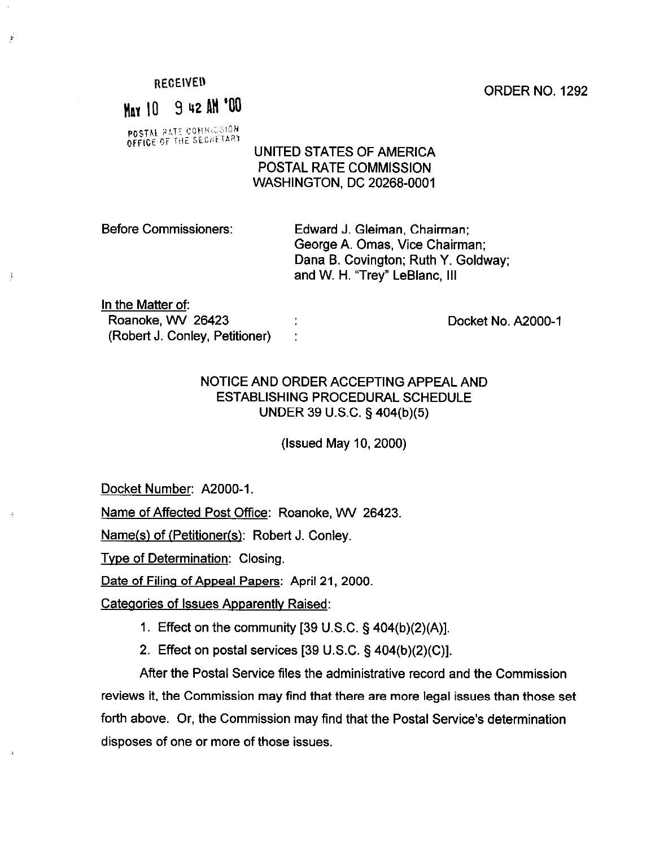REGEIVED

 $\mathbf{r}$ 

¥.

# May 10 9 42 AM '00

POSTAL RATE COMMICSION

#### UNITED STATES OF AMERICA POSTAL RATE COMMISSION WASHINGTON, DC 20268-0001

Before Commissioners: Edward J. Gleiman, Chairman; George A. Omas, Vice Chairman; Dana B. Covington; Ruth Y. Goldway; and W. H. "Trey" LeBlanc, Ill

In the Matter of:

Roanoke, WV 26423 (Robert J. Conley, Petitioner) :

Docket No. A2000-1

### NOTICE AND ORDER ACCEPTING APPEAL AND ESTABLISHING PROCEDURAL SCHEDULE UNDER 39 U.S.C. § 404(b)(5)

(Issued May IO, 2000)

Docket Number: A2000-1.

Name of Affected Post Office: Roanoke, WV 26423.

Name(s) of (Petitioner(s): Robert J. Conley.

Tvpe of Determination: Closing.

Date of Filing of Appeal Papers: April 21, 2000.

Categories of Issues Apparently Raised:

- I. Effect on the community [39 U.S.C. § 404(b)(2)(A)].
- 2. Effect on postal services [39 U.S.C. § 404(b)(2)(C)].

After the Postal Service files the administrative record and the Commission reviews it, the Commission may find that there are more legal issues than those set forth above. Or, the Commission may find that the Postal Service's determination disposes of one or more of those issues.

ORDER NO. 1292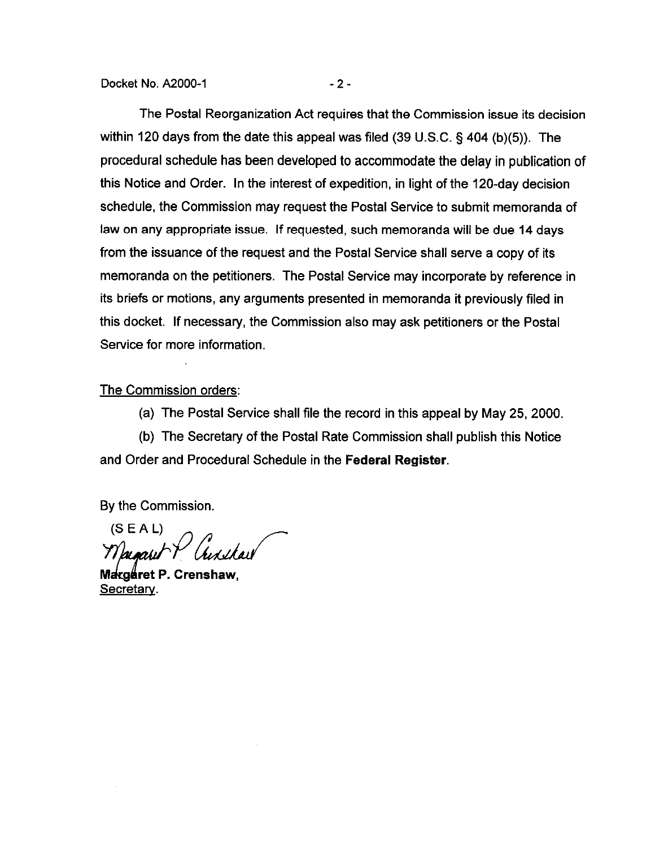Docket No. A2000-1 -2 -

The Postal Reorganization Act requires that the Commission issue its decision within 120 days from the date this appeal was filed (39 U.S.C. § 404 (b)(5)). The procedural schedule has been developed to accommodate the delay in publication of this Notice and Order. In the interest of expedition, in light of the 120-day decision schedule, the Commission may request the Postal Service to submit memoranda of law on any appropriate issue. If requested, such memoranda will be due 14 days from the issuance of the request and the Postal Service shall serve a copy of its memoranda on the petitioners. The Postal Service may incorporate by reference in its briefs or motions, any arguments presented in memoranda it previously filed in this docket. If necessary, the Commission also may ask petitioners or the Postal Service for more information.

#### The Commission orders:

(a) The Postal Service shall file the record in this appeal by May 25, 2000.

(b) The Secretary of the Postal Rate Commission shall publish this Notice and Order and Procedural Schedule in the Federal Register.

By the Commission.

 $(S E A L)$ Ausshau  $7$ umi $\Gamma$ 

Margaret P. Crenshaw, Secretary.